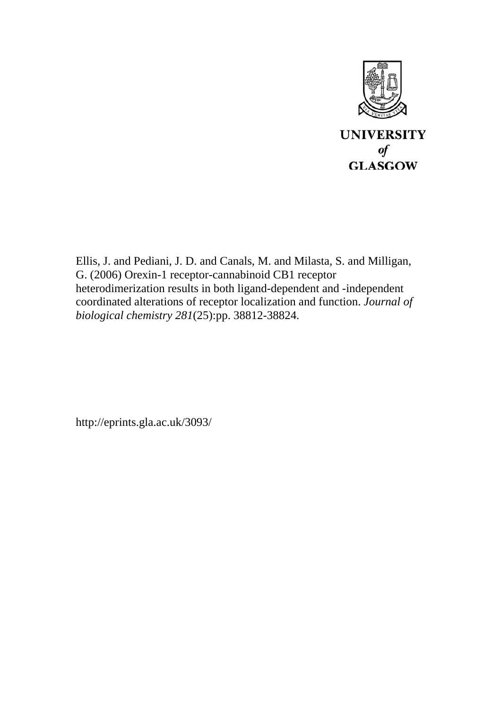

Ellis, J. and Pediani, J. D. and Canals, M. and Milasta, S. and Milligan, G. (2006) Orexin-1 receptor-cannabinoid CB1 receptor heterodimerization results in both ligand-dependent and -independent coordinated alterations of receptor localization and function. *Journal of biological chemistry 281*(25):pp. 38812-38824.

http://eprints.gla.ac.uk/3093/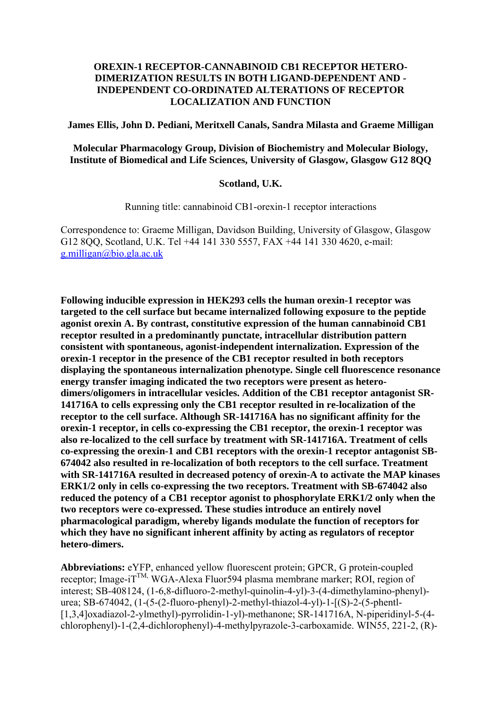### **OREXIN-1 RECEPTOR-CANNABINOID CB1 RECEPTOR HETERO-DIMERIZATION RESULTS IN BOTH LIGAND-DEPENDENT AND - INDEPENDENT CO-ORDINATED ALTERATIONS OF RECEPTOR LOCALIZATION AND FUNCTION**

**James Ellis, John D. Pediani, Meritxell Canals, Sandra Milasta and Graeme Milligan**

**Molecular Pharmacology Group, Division of Biochemistry and Molecular Biology, Institute of Biomedical and Life Sciences, University of Glasgow, Glasgow G12 8QQ**

#### **Scotland, U.K.**

Running title: cannabinoid CB1-orexin-1 receptor interactions

Correspondence to: Graeme Milligan, Davidson Building, University of Glasgow, Glasgow G12 8QQ, Scotland, U.K. Tel +44 141 330 5557, FAX +44 141 330 4620, e-mail: [g.milligan@bio.gla.ac.uk](mailto:g.milligan@bio.gla.ac.uk) 

**Following inducible expression in HEK293 cells the human orexin-1 receptor was targeted to the cell surface but became internalized following exposure to the peptide agonist orexin A. By contrast, constitutive expression of the human cannabinoid CB1 receptor resulted in a predominantly punctate, intracellular distribution pattern consistent with spontaneous, agonist-independent internalization. Expression of the orexin-1 receptor in the presence of the CB1 receptor resulted in both receptors displaying the spontaneous internalization phenotype. Single cell fluorescence resonance energy transfer imaging indicated the two receptors were present as heterodimers/oligomers in intracellular vesicles. Addition of the CB1 receptor antagonist SR-141716A to cells expressing only the CB1 receptor resulted in re-localization of the receptor to the cell surface. Although SR-141716A has no significant affinity for the orexin-1 receptor, in cells co-expressing the CB1 receptor, the orexin-1 receptor was also re-localized to the cell surface by treatment with SR-141716A. Treatment of cells co-expressing the orexin-1 and CB1 receptors with the orexin-1 receptor antagonist SB-674042 also resulted in re-localization of both receptors to the cell surface. Treatment with SR-141716A resulted in decreased potency of orexin-A to activate the MAP kinases ERK1/2 only in cells co-expressing the two receptors. Treatment with SB-674042 also reduced the potency of a CB1 receptor agonist to phosphorylate ERK1/2 only when the two receptors were co-expressed. These studies introduce an entirely novel pharmacological paradigm, whereby ligands modulate the function of receptors for which they have no significant inherent affinity by acting as regulators of receptor hetero-dimers.** 

**Abbreviations:** eYFP, enhanced yellow fluorescent protein; GPCR, G protein-coupled receptor; Image-i $T^{TM}$ , WGA-Alexa Fluor594 plasma membrane marker; ROI, region of interest; SB-408124, (1-6,8-difluoro-2-methyl-quinolin-4-yl)-3-(4-dimethylamino-phenyl) urea; SB-674042, (1-(5-(2-fluoro-phenyl)-2-methyl-thiazol-4-yl)-1-[(S)-2-(5-phentl- [1,3,4]oxadiazol-2-ylmethyl)-pyrrolidin-1-yl)-methanone; SR-141716A, N-piperidinyl-5-(4 chlorophenyl)-1-(2,4-dichlorophenyl)-4-methylpyrazole-3-carboxamide. WIN55, 221-2, (R)-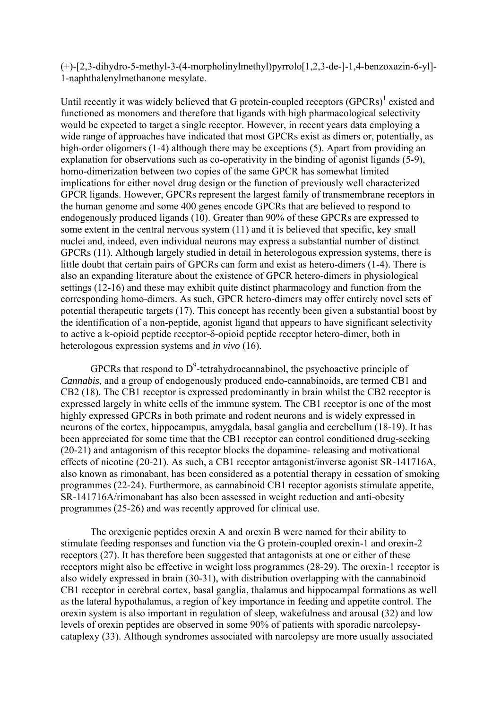(+)-[2,3-dihydro-5-methyl-3-(4-morpholinylmethyl)pyrrolo[1,2,3-de-]-1,4-benzoxazin-6-yl]- 1-naphthalenylmethanone mesylate.

Until recently it was widely believed that G protein-coupled receptors  $(GPCRs)^1$  existed and functioned as monomers and therefore that ligands with high pharmacological selectivity would be expected to target a single receptor. However, in recent years data employing a wide range of approaches have indicated that most GPCRs exist as dimers or, potentially, as high-order oligomers (1-4) although there may be exceptions (5). Apart from providing an explanation for observations such as co-operativity in the binding of agonist ligands (5-9), homo-dimerization between two copies of the same GPCR has somewhat limited implications for either novel drug design or the function of previously well characterized GPCR ligands. However, GPCRs represent the largest family of transmembrane receptors in the human genome and some 400 genes encode GPCRs that are believed to respond to endogenously produced ligands (10). Greater than 90% of these GPCRs are expressed to some extent in the central nervous system (11) and it is believed that specific, key small nuclei and, indeed, even individual neurons may express a substantial number of distinct GPCRs (11). Although largely studied in detail in heterologous expression systems, there is little doubt that certain pairs of GPCRs can form and exist as hetero-dimers (1-4). There is also an expanding literature about the existence of GPCR hetero-dimers in physiological settings (12-16) and these may exhibit quite distinct pharmacology and function from the corresponding homo-dimers. As such, GPCR hetero-dimers may offer entirely novel sets of potential therapeutic targets (17). This concept has recently been given a substantial boost by the identification of a non-peptide, agonist ligand that appears to have significant selectivity to active a k-opioid peptide receptor-δ-opioid peptide receptor hetero-dimer, both in heterologous expression systems and *in vivo* (16).

GPCRs that respond to  $D^9$ -tetrahydrocannabinol, the psychoactive principle of *Cannabis,* and a group of endogenously produced endo-cannabinoids, are termed CB1 and CB2 (18). The CB1 receptor is expressed predominantly in brain whilst the CB2 receptor is expressed largely in white cells of the immune system. The CB1 receptor is one of the most highly expressed GPCRs in both primate and rodent neurons and is widely expressed in neurons of the cortex, hippocampus, amygdala, basal ganglia and cerebellum (18-19). It has been appreciated for some time that the CB1 receptor can control conditioned drug-seeking (20-21) and antagonism of this receptor blocks the dopamine- releasing and motivational effects of nicotine (20-21). As such, a CB1 receptor antagonist/inverse agonist SR-141716A, also known as rimonabant, has been considered as a potential therapy in cessation of smoking programmes (22-24). Furthermore, as cannabinoid CB1 receptor agonists stimulate appetite, SR-141716A/rimonabant has also been assessed in weight reduction and anti-obesity programmes (25-26) and was recently approved for clinical use.

The orexigenic peptides orexin A and orexin B were named for their ability to stimulate feeding responses and function via the G protein-coupled orexin-1 and orexin-2 receptors (27). It has therefore been suggested that antagonists at one or either of these receptors might also be effective in weight loss programmes (28-29). The orexin-1 receptor is also widely expressed in brain (30-31), with distribution overlapping with the cannabinoid CB1 receptor in cerebral cortex, basal ganglia, thalamus and hippocampal formations as well as the lateral hypothalamus, a region of key importance in feeding and appetite control. The orexin system is also important in regulation of sleep, wakefulness and arousal (32) and low levels of orexin peptides are observed in some 90% of patients with sporadic narcolepsycataplexy (33). Although syndromes associated with narcolepsy are more usually associated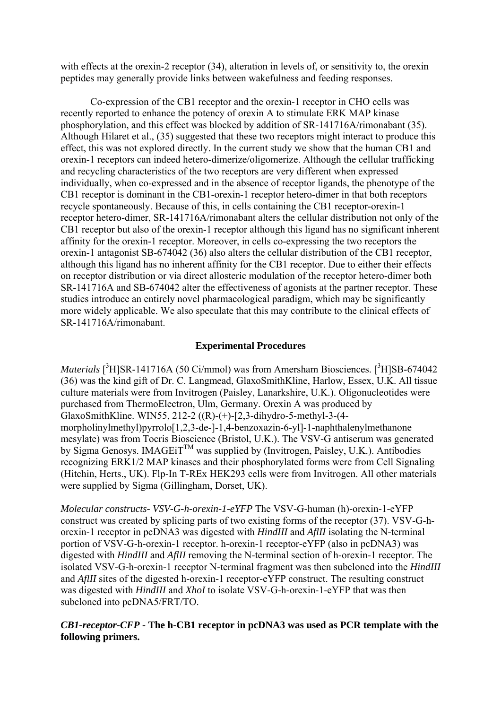with effects at the orexin-2 receptor (34), alteration in levels of, or sensitivity to, the orexin peptides may generally provide links between wakefulness and feeding responses.

Co-expression of the CB1 receptor and the orexin-1 receptor in CHO cells was recently reported to enhance the potency of orexin A to stimulate ERK MAP kinase phosphorylation, and this effect was blocked by addition of SR-141716A/rimonabant (35). Although Hilaret et al., (35) suggested that these two receptors might interact to produce this effect, this was not explored directly. In the current study we show that the human CB1 and orexin-1 receptors can indeed hetero-dimerize/oligomerize. Although the cellular trafficking and recycling characteristics of the two receptors are very different when expressed individually, when co-expressed and in the absence of receptor ligands, the phenotype of the CB1 receptor is dominant in the CB1-orexin-1 receptor hetero-dimer in that both receptors recycle spontaneously. Because of this, in cells containing the CB1 receptor-orexin-1 receptor hetero-dimer, SR-141716A/rimonabant alters the cellular distribution not only of the CB1 receptor but also of the orexin-1 receptor although this ligand has no significant inherent affinity for the orexin-1 receptor. Moreover, in cells co-expressing the two receptors the orexin-1 antagonist SB-674042 (36) also alters the cellular distribution of the CB1 receptor, although this ligand has no inherent affinity for the CB1 receptor. Due to either their effects on receptor distribution or via direct allosteric modulation of the receptor hetero-dimer both SR-141716A and SB-674042 alter the effectiveness of agonists at the partner receptor. These studies introduce an entirely novel pharmacological paradigm, which may be significantly more widely applicable. We also speculate that this may contribute to the clinical effects of SR-141716A/rimonabant.

### **Experimental Procedures**

*Materials* [<sup>3</sup>H]SR-141716A (50 Ci/mmol) was from Amersham Biosciences. [<sup>3</sup>H]SB-674042 (36) was the kind gift of Dr. C. Langmead, GlaxoSmithKline, Harlow, Essex, U.K. All tissue culture materials were from Invitrogen (Paisley, Lanarkshire, U.K.). Oligonucleotides were purchased from ThermoElectron, Ulm, Germany. Orexin A was produced by GlaxoSmithKline. WIN55, 212-2 ((R)-(+)-[2,3-dihydro-5-methyl-3-(4 morpholinylmethyl)pyrrolo[1,2,3-de-]-1,4-benzoxazin-6-yl]-1-naphthalenylmethanone mesylate) was from Tocris Bioscience (Bristol, U.K.). The VSV-G antiserum was generated by Sigma Genosys. IMAGEIT<sup>TM</sup> was supplied by (Invitrogen, Paisley, U.K.). Antibodies recognizing ERK1/2 MAP kinases and their phosphorylated forms were from Cell Signaling (Hitchin, Herts., UK). Flp-In T-REx HEK293 cells were from Invitrogen. All other materials were supplied by Sigma (Gillingham, Dorset, UK).

*Molecular constructs- VSV-G-h-orexin-1-eYFP* The VSV-G-human (h)-orexin-1-eYFP construct was created by splicing parts of two existing forms of the receptor (37). VSV-G-horexin-1 receptor in pcDNA3 was digested with *HindIII* and *AflII* isolating the N-terminal portion of VSV-G-h-orexin-1 receptor. h-orexin-1 receptor-eYFP (also in pcDNA3) was digested with *HindIII* and *AflII* removing the N-terminal section of h-orexin-1 receptor. The isolated VSV-G-h-orexin-1 receptor N-terminal fragment was then subcloned into the *HindIII* and *AflII* sites of the digested h-orexin-1 receptor-eYFP construct. The resulting construct was digested with *HindIII* and *XhoI* to isolate VSV-G-h-orexin-1-eYFP that was then subcloned into pcDNA5/FRT/TO.

### *CB1-receptor-CFP -* **The h-CB1 receptor in pcDNA3 was used as PCR template with the following primers.**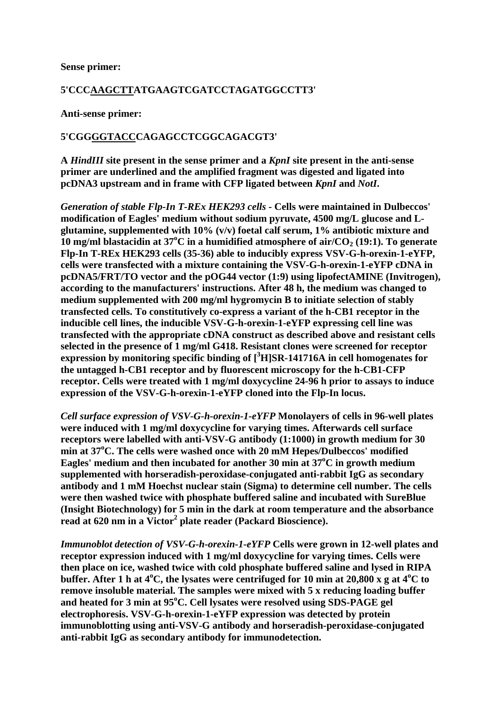#### **Sense primer:**

### **5'CCCAAGCTTATGAAGTCGATCCTAGATGGCCTT3'**

**Anti-sense primer:**

### **5'CGGGGTACCCAGAGCCTCGGCAGACGT3'**

**A** *HindIII* **site present in the sense primer and a** *KpnI* **site present in the anti-sense primer are underlined and the amplified fragment was digested and ligated into pcDNA3 upstream and in frame with CFP ligated between** *KpnI* **and** *NotI***.**

*Generation of stable Flp-In T-REx HEK293 cells -* **Cells were maintained in Dulbeccos' modification of Eagles' medium without sodium pyruvate, 4500 mg/L glucose and Lglutamine, supplemented with 10% (v/v) foetal calf serum, 1% antibiotic mixture and 10 mg/ml blastacidin at 37°C in a humidified atmosphere of air/CO<sub>2</sub> (19:1). To generate Flp-In T-REx HEK293 cells (35-36) able to inducibly express VSV-G-h-orexin-1-eYFP, cells were transfected with a mixture containing the VSV-G-h-orexin-1-eYFP cDNA in pcDNA5/FRT/TO vector and the pOG44 vector (1:9) using lipofectAMINE (Invitrogen), according to the manufacturers' instructions. After 48 h, the medium was changed to medium supplemented with 200 mg/ml hygromycin B to initiate selection of stably transfected cells. To constitutively co-express a variant of the h-CB1 receptor in the inducible cell lines, the inducible VSV-G-h-orexin-1-eYFP expressing cell line was transfected with the appropriate cDNA construct as described above and resistant cells selected in the presence of 1 mg/ml G418. Resistant clones were screened for receptor expression by monitoring specific binding of [<sup>3</sup> H]SR-141716A in cell homogenates for the untagged h-CB1 receptor and by fluorescent microscopy for the h-CB1-CFP receptor. Cells were treated with 1 mg/ml doxycycline 24-96 h prior to assays to induce expression of the VSV-G-h-orexin-1-eYFP cloned into the Flp-In locus.**

*Cell surface expression of VSV-G-h-orexin-1-eYFP* **Monolayers of cells in 96-well plates were induced with 1 mg/ml doxycycline for varying times. Afterwards cell surface receptors were labelled with anti-VSV-G antibody (1:1000) in growth medium for 30 min at 37o C. The cells were washed once with 20 mM Hepes/Dulbeccos' modified Eagles' medium and then incubated for another 30 min at 37<sup>o</sup> C in growth medium supplemented with horseradish-peroxidase-conjugated anti-rabbit IgG as secondary antibody and 1 mM Hoechst nuclear stain (Sigma) to determine cell number. The cells were then washed twice with phosphate buffered saline and incubated with SureBlue (Insight Biotechnology) for 5 min in the dark at room temperature and the absorbance**  read at 620 nm in a Victor<sup>2</sup> plate reader (Packard Bioscience).

*Immunoblot detection of VSV-G-h-orexin-1-eYFP* **Cells were grown in 12-well plates and receptor expression induced with 1 mg/ml doxycycline for varying times. Cells were then place on ice, washed twice with cold phosphate buffered saline and lysed in RIPA**  buffer. After 1 h at 4<sup>o</sup>C, the lysates were centrifuged for 10 min at 20,800 x g at 4<sup>o</sup>C to **remove insoluble material. The samples were mixed with 5 x reducing loading buffer and heated for 3 min at 95<sup>o</sup> C. Cell lysates were resolved using SDS-PAGE gel electrophoresis. VSV-G-h-orexin-1-eYFP expression was detected by protein immunoblotting using anti-VSV-G antibody and horseradish-peroxidase-conjugated anti-rabbit IgG as secondary antibody for immunodetection.**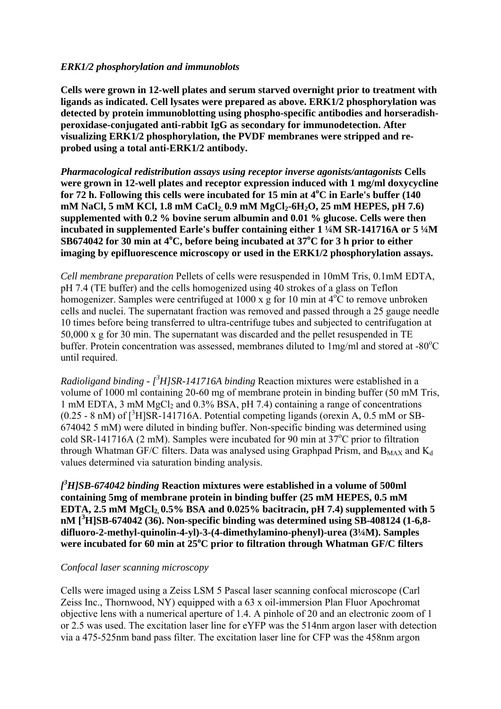### *ERK1/2 phosphorylation and immunoblots*

**Cells were grown in 12-well plates and serum starved overnight prior to treatment with ligands as indicated. Cell lysates were prepared as above. ERK1/2 phosphorylation was detected by protein immunoblotting using phospho-specific antibodies and horseradishperoxidase-conjugated anti-rabbit IgG as secondary for immunodetection. After visualizing ERK1/2 phosphorylation, the PVDF membranes were stripped and reprobed using a total anti-ERK1/2 antibody.**

*Pharmacological redistribution assays using receptor inverse agonists/antagonists* **Cells were grown in 12-well plates and receptor expression induced with 1 mg/ml doxycycline for 72 h. Following this cells were incubated for 15 min at 4<sup>o</sup> C in Earle's buffer (140**  mM NaCl, 5 mM KCl, 1.8 mM CaCl<sub>2</sub>, 0.9 mM MgCl<sub>2</sub>-6H<sub>2</sub>O, 25 mM HEPES, pH 7.6) **supplemented with 0.2 % bovine serum albumin and 0.01 % glucose. Cells were then incubated in supplemented Earle's buffer containing either 1 ¼M SR-141716A or 5 ¼M**  SB674042 for 30 min at 4<sup>o</sup>C, before being incubated at 37<sup>o</sup>C for 3 h prior to either **imaging by epifluorescence microscopy or used in the ERK1/2 phosphorylation assays.**

*Cell membrane preparation* Pellets of cells were resuspended in 10mM Tris, 0.1mM EDTA, pH 7.4 (TE buffer) and the cells homogenized using 40 strokes of a glass on Teflon homogenizer. Samples were centrifuged at  $1000 \times g$  for 10 min at  $4^{\circ}C$  to remove unbroken cells and nuclei. The supernatant fraction was removed and passed through a 25 gauge needle 10 times before being transferred to ultra-centrifuge tubes and subjected to centrifugation at 50,000 x g for 30 min. The supernatant was discarded and the pellet resuspended in TE buffer. Protein concentration was assessed, membranes diluted to  $1 \text{ mg/ml}$  and stored at -80 $^{\circ}$ C until required.

*Radioligand binding - [<sup>3</sup>H]SR-141716A binding Reaction mixtures were established in a* volume of 1000 ml containing 20-60 mg of membrane protein in binding buffer (50 mM Tris, 1 mM EDTA, 3 mM  $MgCl<sub>2</sub>$  and 0.3% BSA, pH 7.4) containing a range of concentrations  $(0.25 - 8 \text{ nM})$  of  $\binom{3}{1}$  SR-141716A. Potential competing ligands (orexin A, 0.5 mM or SB-674042 5 mM) were diluted in binding buffer. Non-specific binding was determined using cold SR-141716A (2 mM). Samples were incubated for 90 min at  $37^{\circ}$ C prior to filtration through Whatman GF/C filters. Data was analysed using Graphpad Prism, and  $B_{MAX}$  and  $K_d$ values determined via saturation binding analysis.

*[ 3 H]SB-674042 binding* **Reaction mixtures were established in a volume of 500ml containing 5mg of membrane protein in binding buffer (25 mM HEPES, 0.5 mM EDTA, 2.5 mM MgCl<sub>2</sub>, 0.5% BSA and 0.025% bacitracin, pH 7.4) supplemented with 5 nM [<sup>3</sup> H]SB-674042 (36). Non-specific binding was determined using SB-408124 (1-6,8 difluoro-2-methyl-quinolin-4-yl)-3-(4-dimethylamino-phenyl)-urea (3¼M). Samples**  were incubated for 60 min at 25<sup>°</sup>C prior to filtration through Whatman GF/C filters

### *Confocal laser scanning microscopy*

Cells were imaged using a Zeiss LSM 5 Pascal laser scanning confocal microscope (Carl Zeiss Inc., Thornwood, NY) equipped with a 63 x oil-immersion Plan Fluor Apochromat objective lens with a numerical aperture of 1.4. A pinhole of 20 and an electronic zoom of 1 or 2.5 was used. The excitation laser line for eYFP was the 514nm argon laser with detection via a 475-525nm band pass filter. The excitation laser line for CFP was the 458nm argon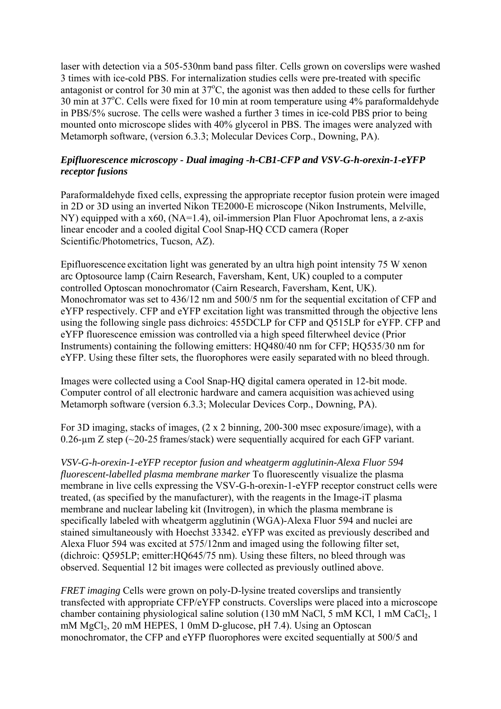laser with detection via a 505-530nm band pass filter. Cells grown on coverslips were washed 3 times with ice-cold PBS. For internalization studies cells were pre-treated with specific antagonist or control for 30 min at  $37^{\circ}$ C, the agonist was then added to these cells for further 30 min at 37°C. Cells were fixed for 10 min at room temperature using 4% paraformaldehyde in PBS/5% sucrose. The cells were washed a further 3 times in ice-cold PBS prior to being mounted onto microscope slides with 40% glycerol in PBS. The images were analyzed with Metamorph software, (version 6.3.3; Molecular Devices Corp., Downing, PA).

## *Epifluorescence microscopy - Dual imaging -h-CB1-CFP and VSV-G-h-orexin-1-eYFP receptor fusions*

Paraformaldehyde fixed cells, expressing the appropriate receptor fusion protein were imaged in 2D or 3D using an inverted Nikon TE2000-E microscope (Nikon Instruments, Melville, NY) equipped with a x60, (NA=1.4), oil-immersion Plan Fluor Apochromat lens, a z-axis linear encoder and a cooled digital Cool Snap-HQ CCD camera (Roper Scientific/Photometrics, Tucson, AZ).

Epifluorescence excitation light was generated by an ultra high point intensity 75 W xenon arc Optosource lamp (Cairn Research, Faversham, Kent, UK) coupled to a computer controlled Optoscan monochromator (Cairn Research, Faversham, Kent, UK). Monochromator was set to 436/12 nm and 500/5 nm for the sequential excitation of CFP and eYFP respectively. CFP and eYFP excitation light was transmitted through the objective lens using the following single pass dichroics: 455DCLP for CFP and Q515LP for eYFP. CFP and eYFP fluorescence emission was controlled via a high speed filterwheel device (Prior Instruments) containing the following emitters: HQ480/40 nm for CFP; HQ535/30 nm for eYFP. Using these filter sets, the fluorophores were easily separated with no bleed through.

Images were collected using a Cool Snap-HQ digital camera operated in 12-bit mode. Computer control of all electronic hardware and camera acquisition was achieved using Metamorph software (version 6.3.3; Molecular Devices Corp., Downing, PA).

For 3D imaging, stacks of images, (2 x 2 binning, 200-300 msec exposure/image), with a 0.26-µm Z step (~20-25 frames/stack) were sequentially acquired for each GFP variant.

*VSV-G-h-orexin-1-eYFP receptor fusion and wheatgerm agglutinin-Alexa Fluor 594 fluorescent-labelled plasma membrane marker* To fluorescently visualize the plasma membrane in live cells expressing the VSV-G-h-orexin-1-eYFP receptor construct cells were treated, (as specified by the manufacturer), with the reagents in the Image-iT plasma membrane and nuclear labeling kit (Invitrogen), in which the plasma membrane is specifically labeled with wheatgerm agglutinin (WGA)-Alexa Fluor 594 and nuclei are stained simultaneously with Hoechst 33342. eYFP was excited as previously described and Alexa Fluor 594 was excited at 575/12nm and imaged using the following filter set, (dichroic: Q595LP; emitter:HQ645/75 nm). Using these filters, no bleed through was observed. Sequential 12 bit images were collected as previously outlined above.

*FRET imaging* Cells were grown on poly-D-lysine treated coverslips and transiently transfected with appropriate CFP/eYFP constructs. Coverslips were placed into a microscope chamber containing physiological saline solution (130 mM NaCl, 5 mM KCl, 1 mM CaCl<sub>2</sub>, 1 mM  $MgCl<sub>2</sub>$ , 20 mM HEPES, 1 0mM D-glucose, pH 7.4). Using an Optoscan monochromator, the CFP and eYFP fluorophores were excited sequentially at 500/5 and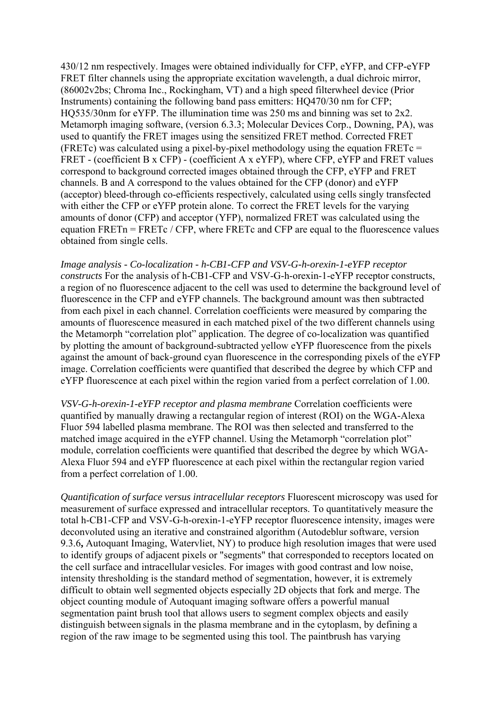430/12 nm respectively. Images were obtained individually for CFP, eYFP, and CFP-eYFP FRET filter channels using the appropriate excitation wavelength, a dual dichroic mirror, (86002v2bs; Chroma Inc., Rockingham, VT) and a high speed filterwheel device (Prior Instruments) containing the following band pass emitters: HQ470/30 nm for CFP; HQ535/30nm for eYFP. The illumination time was 250 ms and binning was set to 2x2. Metamorph imaging software, (version 6.3.3; Molecular Devices Corp., Downing, PA), was used to quantify the FRET images using the sensitized FRET method. Corrected FRET (FRETc) was calculated using a pixel-by-pixel methodology using the equation FRETc = FRET - (coefficient B x CFP) - (coefficient A x eYFP), where CFP, eYFP and FRET values correspond to background corrected images obtained through the CFP, eYFP and FRET channels. B and A correspond to the values obtained for the CFP (donor) and eYFP (acceptor) bleed-through co-efficients respectively, calculated using cells singly transfected with either the CFP or eYFP protein alone. To correct the FRET levels for the varying amounts of donor (CFP) and acceptor (YFP), normalized FRET was calculated using the equation  $FRETn = FRETc / CFP$ , where  $FRETc$  and  $CFP$  are equal to the fluorescence values obtained from single cells.

*Image analysis - Co-localization - h-CB1-CFP and VSV-G-h-orexin-1-eYFP receptor constructs* For the analysis of h-CB1-CFP and VSV-G-h-orexin-1-eYFP receptor constructs, a region of no fluorescence adjacent to the cell was used to determine the background level of fluorescence in the CFP and eYFP channels. The background amount was then subtracted from each pixel in each channel. Correlation coefficients were measured by comparing the amounts of fluorescence measured in each matched pixel of the two different channels using the Metamorph "correlation plot" application. The degree of co-localization was quantified by plotting the amount of background-subtracted yellow eYFP fluorescence from the pixels against the amount of back-ground cyan fluorescence in the corresponding pixels of the eYFP image. Correlation coefficients were quantified that described the degree by which CFP and eYFP fluorescence at each pixel within the region varied from a perfect correlation of 1.00.

*VSV-G-h-orexin-1-eYFP receptor and plasma membrane* Correlation coefficients were quantified by manually drawing a rectangular region of interest (ROI) on the WGA-Alexa Fluor 594 labelled plasma membrane. The ROI was then selected and transferred to the matched image acquired in the eYFP channel. Using the Metamorph "correlation plot" module, correlation coefficients were quantified that described the degree by which WGA-Alexa Fluor 594 and eYFP fluorescence at each pixel within the rectangular region varied from a perfect correlation of 1.00.

*Quantification of surface versus intracellular receptors* Fluorescent microscopy was used for measurement of surface expressed and intracellular receptors. To quantitatively measure the total h-CB1-CFP and VSV-G-h-orexin-1-eYFP receptor fluorescence intensity, images were deconvoluted using an iterative and constrained algorithm (Autodeblur software, version 9.3.6**,** Autoquant Imaging, Watervliet, NY) to produce high resolution images that were used to identify groups of adjacent pixels or "segments" that corresponded to receptors located on the cell surface and intracellular vesicles. For images with good contrast and low noise, intensity thresholding is the standard method of segmentation, however, it is extremely difficult to obtain well segmented objects especially 2D objects that fork and merge. The object counting module of Autoquant imaging software offers a powerful manual segmentation paint brush tool that allows users to segment complex objects and easily distinguish between signals in the plasma membrane and in the cytoplasm, by defining a region of the raw image to be segmented using this tool. The paintbrush has varying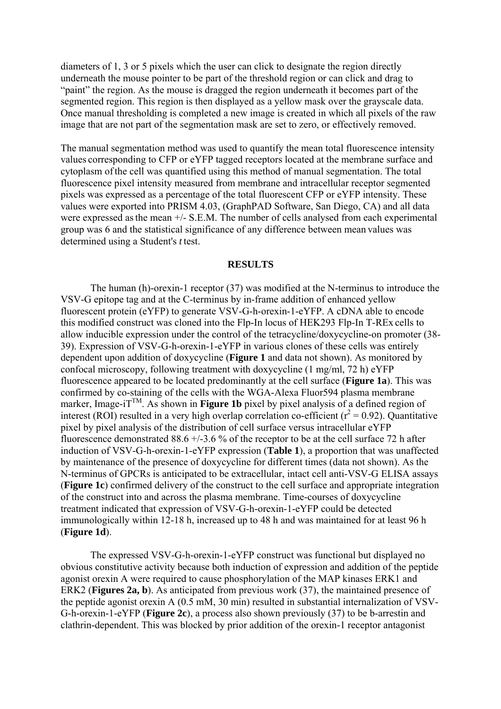diameters of 1, 3 or 5 pixels which the user can click to designate the region directly underneath the mouse pointer to be part of the threshold region or can click and drag to "paint" the region. As the mouse is dragged the region underneath it becomes part of the segmented region. This region is then displayed as a yellow mask over the grayscale data. Once manual thresholding is completed a new image is created in which all pixels of the raw image that are not part of the segmentation mask are set to zero, or effectively removed.

The manual segmentation method was used to quantify the mean total fluorescence intensity values corresponding to CFP or eYFP tagged receptors located at the membrane surface and cytoplasm ofthe cell was quantified using this method of manual segmentation. The total fluorescence pixel intensity measured from membrane and intracellular receptor segmented pixels was expressed as a percentage of the total fluorescent CFP or eYFP intensity. These values were exported into PRISM 4.03, (GraphPAD Software, San Diego, CA) and all data were expressed asthe mean +/- S.E.M. The number of cells analysed from each experimental group was 6 and the statistical significance of any difference between mean values was determined using a Student's *t* test.

#### **RESULTS**

The human (h)-orexin-1 receptor (37) was modified at the N-terminus to introduce the VSV-G epitope tag and at the C-terminus by in-frame addition of enhanced yellow fluorescent protein (eYFP) to generate VSV-G-h-orexin-1-eYFP. A cDNA able to encode this modified construct was cloned into the Flp-In locus of HEK293 Flp-In T-REx cells to allow inducible expression under the control of the tetracycline/doxycycline-on promoter (38- 39). Expression of VSV-G-h-orexin-1-eYFP in various clones of these cells was entirely dependent upon addition of doxycycline (**Figure 1** and data not shown). As monitored by confocal microscopy, following treatment with doxycycline (1 mg/ml, 72 h) eYFP fluorescence appeared to be located predominantly at the cell surface (**Figure 1a**). This was confirmed by co-staining of the cells with the WGA-Alexa Fluor594 plasma membrane marker, Image-iT<sup>TM</sup>. As shown in **Figure 1b** pixel by pixel analysis of a defined region of interest (ROI) resulted in a very high overlap correlation co-efficient ( $r^2 = 0.92$ ). Quantitative pixel by pixel analysis of the distribution of cell surface versus intracellular eYFP fluorescence demonstrated  $88.6 +/-3.6$  % of the receptor to be at the cell surface 72 h after induction of VSV-G-h-orexin-1-eYFP expression (**Table 1**), a proportion that was unaffected by maintenance of the presence of doxycycline for different times (data not shown). As the N-terminus of GPCRs is anticipated to be extracellular, intact cell anti-VSV-G ELISA assays (**Figure 1c**) confirmed delivery of the construct to the cell surface and appropriate integration of the construct into and across the plasma membrane. Time-courses of doxycycline treatment indicated that expression of VSV-G-h-orexin-1-eYFP could be detected immunologically within 12-18 h, increased up to 48 h and was maintained for at least 96 h (**Figure 1d**).

The expressed VSV-G-h-orexin-1-eYFP construct was functional but displayed no obvious constitutive activity because both induction of expression and addition of the peptide agonist orexin A were required to cause phosphorylation of the MAP kinases ERK1 and ERK2 (**Figures 2a, b**). As anticipated from previous work (37), the maintained presence of the peptide agonist orexin A (0.5 mM, 30 min) resulted in substantial internalization of VSV-G-h-orexin-1-eYFP (**Figure 2c**), a process also shown previously (37) to be b-arrestin and clathrin-dependent. This was blocked by prior addition of the orexin-1 receptor antagonist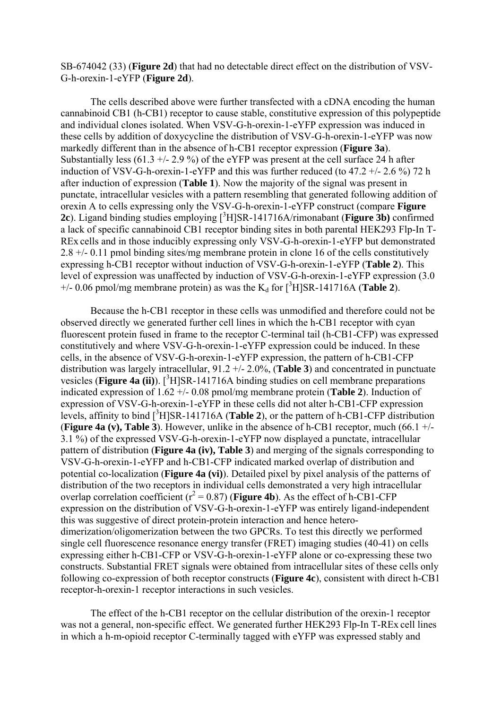SB-674042 (33) (**Figure 2d**) that had no detectable direct effect on the distribution of VSV-G-h-orexin-1-eYFP (**Figure 2d**).

The cells described above were further transfected with a cDNA encoding the human cannabinoid CB1 (h-CB1) receptor to cause stable, constitutive expression of this polypeptide and individual clones isolated. When VSV-G-h-orexin-1-eYFP expression was induced in these cells by addition of doxycycline the distribution of VSV-G-h-orexin-1-eYFP was now markedly different than in the absence of h-CB1 receptor expression (**Figure 3a**). Substantially less  $(61.3 + - 2.9\%)$  of the eYFP was present at the cell surface 24 h after induction of VSV-G-h-orexin-1-eYFP and this was further reduced (to  $47.2 + (-2.6\%)$  72 h after induction of expression (**Table 1**). Now the majority of the signal was present in punctate, intracellular vesicles with a pattern resembling that generated following addition of orexin A to cells expressing only the VSV-G-h-orexin-1-eYFP construct (compare **Figure**  2c). Ligand binding studies employing [<sup>3</sup>H]SR-141716A/rimonabant (**Figure 3b**) confirmed a lack of specific cannabinoid CB1 receptor binding sites in both parental HEK293 Flp-In T-REx cells and in those inducibly expressing only VSV-G-h-orexin-1-eYFP but demonstrated 2.8 +/- 0.11 pmol binding sites/mg membrane protein in clone 16 of the cells constitutively expressing h-CB1 receptor without induction of VSV-G-h-orexin-1-eYFP (**Table 2**). This level of expression was unaffected by induction of VSV-G-h-orexin-1-eYFP expression (3.0  $+/- 0.06$  pmol/mg membrane protein) as was the  $K_d$  for  $[^{3}H]$ SR-141716A (**Table 2**).

Because the h-CB1 receptor in these cells was unmodified and therefore could not be observed directly we generated further cell lines in which the h-CB1 receptor with cyan fluorescent protein fused in frame to the receptor C-terminal tail (h-CB1-CFP) was expressed constitutively and where VSV-G-h-orexin-1-eYFP expression could be induced. In these cells, in the absence of VSV-G-h-orexin-1-eYFP expression, the pattern of h-CB1-CFP distribution was largely intracellular, 91.2 +/- 2.0%, (**Table 3**) and concentrated in punctuate vesicles (**Figure 4a** (ii)).  $[{}^{3}H]$ SR-141716A binding studies on cell membrane preparations indicated expression of 1.62 +/- 0.08 pmol/mg membrane protein (**Table 2**). Induction of expression of VSV-G-h-orexin-1-eYFP in these cells did not alter h-CB1-CFP expression levels, affinity to bind [<sup>3</sup>H]SR-141716A (**Table 2**), or the pattern of h-CB1-CFP distribution (**Figure 4a (v), Table 3**). However, unlike in the absence of h-CB1 receptor, much (66.1 +/- 3.1 %) of the expressed VSV-G-h-orexin-1-eYFP now displayed a punctate, intracellular pattern of distribution (**Figure 4a (iv), Table 3**) and merging of the signals corresponding to VSV-G-h-orexin-1-eYFP and h-CB1-CFP indicated marked overlap of distribution and potential co-localization (**Figure 4a (vi)**). Detailed pixel by pixel analysis of the patterns of distribution of the two receptors in individual cells demonstrated a very high intracellular overlap correlation coefficient  $(r^2 = 0.87)$  (**Figure 4b**). As the effect of h-CB1-CFP expression on the distribution of VSV-G-h-orexin-1-eYFP was entirely ligand-independent this was suggestive of direct protein-protein interaction and hence heterodimerization/oligomerization between the two GPCRs. To test this directly we performed single cell fluorescence resonance energy transfer (FRET) imaging studies (40-41) on cells expressing either h-CB1-CFP or VSV-G-h-orexin-1-eYFP alone or co-expressing these two constructs. Substantial FRET signals were obtained from intracellular sites of these cells only following co-expression of both receptor constructs (**Figure 4c**), consistent with direct h-CB1 receptor-h-orexin-1 receptor interactions in such vesicles.

The effect of the h-CB1 receptor on the cellular distribution of the orexin-1 receptor was not a general, non-specific effect. We generated further HEK293 Flp-In T-REx cell lines in which a h-m-opioid receptor C-terminally tagged with eYFP was expressed stably and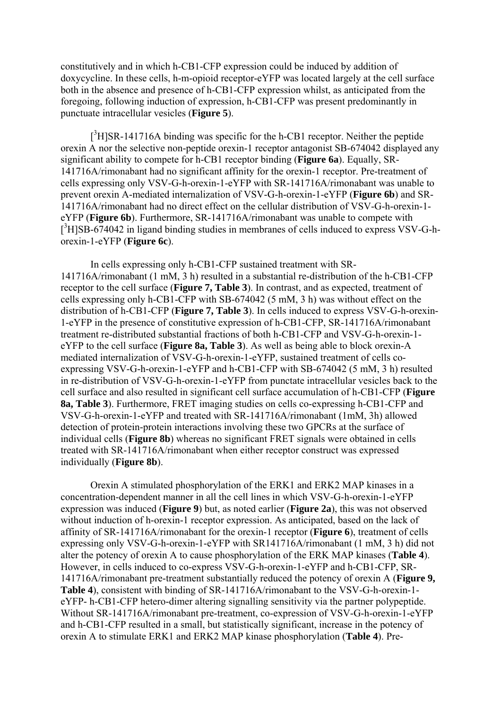constitutively and in which h-CB1-CFP expression could be induced by addition of doxycycline. In these cells, h-m-opioid receptor-eYFP was located largely at the cell surface both in the absence and presence of h-CB1-CFP expression whilst, as anticipated from the foregoing, following induction of expression, h-CB1-CFP was present predominantly in punctuate intracellular vesicles (**Figure 5**).

 $[^3H]$ SR-141716A binding was specific for the h-CB1 receptor. Neither the peptide orexin A nor the selective non-peptide orexin-1 receptor antagonist SB-674042 displayed any significant ability to compete for h-CB1 receptor binding (**Figure 6a**). Equally, SR-141716A/rimonabant had no significant affinity for the orexin-1 receptor. Pre-treatment of cells expressing only VSV-G-h-orexin-1-eYFP with SR-141716A/rimonabant was unable to prevent orexin A-mediated internalization of VSV-G-h-orexin-1-eYFP (**Figure 6b**) and SR-141716A/rimonabant had no direct effect on the cellular distribution of VSV-G-h-orexin-1 eYFP (**Figure 6b**). Furthermore, SR-141716A/rimonabant was unable to compete with [<sup>3</sup>H]SB-674042 in ligand binding studies in membranes of cells induced to express VSV-G-horexin-1-eYFP (**Figure 6c**).

In cells expressing only h-CB1-CFP sustained treatment with SR-141716A/rimonabant (1 mM, 3 h) resulted in a substantial re-distribution of the h-CB1-CFP receptor to the cell surface (**Figure 7, Table 3**). In contrast, and as expected, treatment of cells expressing only h-CB1-CFP with SB-674042 (5 mM, 3 h) was without effect on the distribution of h-CB1-CFP (**Figure 7, Table 3**). In cells induced to express VSV-G-h-orexin-1-eYFP in the presence of constitutive expression of h-CB1-CFP, SR-141716A/rimonabant treatment re-distributed substantial fractions of both h-CB1-CFP and VSV-G-h-orexin-1 eYFP to the cell surface (**Figure 8a, Table 3**). As well as being able to block orexin-A mediated internalization of VSV-G-h-orexin-1-eYFP, sustained treatment of cells coexpressing VSV-G-h-orexin-1-eYFP and h-CB1-CFP with SB-674042 (5 mM, 3 h) resulted in re-distribution of VSV-G-h-orexin-1-eYFP from punctate intracellular vesicles back to the cell surface and also resulted in significant cell surface accumulation of h-CB1-CFP (**Figure 8a, Table 3**). Furthermore, FRET imaging studies on cells co-expressing h-CB1-CFP and VSV-G-h-orexin-1-eYFP and treated with SR-141716A/rimonabant (1mM, 3h) allowed detection of protein-protein interactions involving these two GPCRs at the surface of individual cells (**Figure 8b**) whereas no significant FRET signals were obtained in cells treated with SR-141716A/rimonabant when either receptor construct was expressed individually (**Figure 8b**).

Orexin A stimulated phosphorylation of the ERK1 and ERK2 MAP kinases in a concentration-dependent manner in all the cell lines in which VSV-G-h-orexin-1-eYFP expression was induced (**Figure 9**) but, as noted earlier (**Figure 2a**), this was not observed without induction of h-orexin-1 receptor expression. As anticipated, based on the lack of affinity of SR-141716A/rimonabant for the orexin-1 receptor (**Figure 6**), treatment of cells expressing only VSV-G-h-orexin-1-eYFP with SR141716A/rimonabant (1 mM, 3 h) did not alter the potency of orexin A to cause phosphorylation of the ERK MAP kinases (**Table 4**). However, in cells induced to co-express VSV-G-h-orexin-1-eYFP and h-CB1-CFP, SR-141716A/rimonabant pre-treatment substantially reduced the potency of orexin A (**Figure 9, Table 4**), consistent with binding of SR-141716A/rimonabant to the VSV-G-h-orexin-1 eYFP- h-CB1-CFP hetero-dimer altering signalling sensitivity via the partner polypeptide. Without SR-141716A/rimonabant pre-treatment, co-expression of VSV-G-h-orexin-1-eYFP and h-CB1-CFP resulted in a small, but statistically significant, increase in the potency of orexin A to stimulate ERK1 and ERK2 MAP kinase phosphorylation (**Table 4**). Pre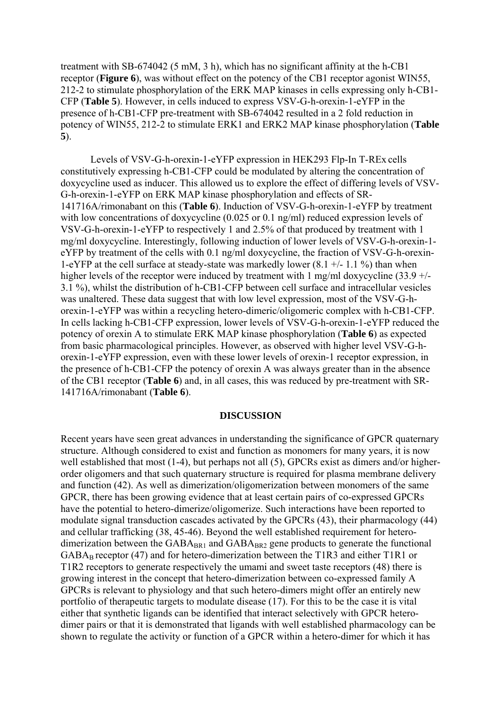treatment with SB-674042 (5 mM, 3 h), which has no significant affinity at the h-CB1 receptor (**Figure 6**), was without effect on the potency of the CB1 receptor agonist WIN55, 212-2 to stimulate phosphorylation of the ERK MAP kinases in cells expressing only h-CB1- CFP (**Table 5**). However, in cells induced to express VSV-G-h-orexin-1-eYFP in the presence of h-CB1-CFP pre-treatment with SB-674042 resulted in a 2 fold reduction in potency of WIN55, 212-2 to stimulate ERK1 and ERK2 MAP kinase phosphorylation (**Table 5**).

Levels of VSV-G-h-orexin-1-eYFP expression in HEK293 Flp-In T-REx cells constitutively expressing h-CB1-CFP could be modulated by altering the concentration of doxycycline used as inducer. This allowed us to explore the effect of differing levels of VSV-G-h-orexin-1-eYFP on ERK MAP kinase phosphorylation and effects of SR-141716A/rimonabant on this (**Table 6**). Induction of VSV-G-h-orexin-1-eYFP by treatment with low concentrations of doxycycline (0.025 or 0.1 ng/ml) reduced expression levels of VSV-G-h-orexin-1-eYFP to respectively 1 and 2.5% of that produced by treatment with 1 mg/ml doxycycline. Interestingly, following induction of lower levels of VSV-G-h-orexin-1 eYFP by treatment of the cells with 0.1 ng/ml doxycycline, the fraction of VSV-G-h-orexin-1-eYFP at the cell surface at steady-state was markedly lower  $(8.1 +/11.1 \%)$  than when higher levels of the receptor were induced by treatment with 1 mg/ml doxycycline  $(33.9 +/-$ 3.1 %), whilst the distribution of h-CB1-CFP between cell surface and intracellular vesicles was unaltered. These data suggest that with low level expression, most of the VSV-G-horexin-1-eYFP was within a recycling hetero-dimeric/oligomeric complex with h-CB1-CFP. In cells lacking h-CB1-CFP expression, lower levels of VSV-G-h-orexin-1-eYFP reduced the potency of orexin A to stimulate ERK MAP kinase phosphorylation (**Table 6**) as expected from basic pharmacological principles. However, as observed with higher level VSV-G-horexin-1-eYFP expression, even with these lower levels of orexin-1 receptor expression, in the presence of h-CB1-CFP the potency of orexin A was always greater than in the absence of the CB1 receptor (**Table 6**) and, in all cases, this was reduced by pre-treatment with SR-141716A/rimonabant (**Table 6**).

#### **DISCUSSION**

Recent years have seen great advances in understanding the significance of GPCR quaternary structure. Although considered to exist and function as monomers for many years, it is now well established that most (1-4), but perhaps not all (5), GPCRs exist as dimers and/or higherorder oligomers and that such quaternary structure is required for plasma membrane delivery and function (42). As well as dimerization/oligomerization between monomers of the same GPCR, there has been growing evidence that at least certain pairs of co-expressed GPCRs have the potential to hetero-dimerize/oligomerize. Such interactions have been reported to modulate signal transduction cascades activated by the GPCRs (43), their pharmacology (44) and cellular trafficking (38, 45-46). Beyond the well established requirement for heterodimerization between the  $GABA_{BR1}$  and  $GABA_{BR2}$  gene products to generate the functional GABA<sub>B</sub> receptor (47) and for hetero-dimerization between the T1R3 and either T1R1 or T1R2 receptors to generate respectively the umami and sweet taste receptors (48) there is growing interest in the concept that hetero-dimerization between co-expressed family A GPCRs is relevant to physiology and that such hetero-dimers might offer an entirely new portfolio of therapeutic targets to modulate disease (17). For this to be the case it is vital either that synthetic ligands can be identified that interact selectively with GPCR heterodimer pairs or that it is demonstrated that ligands with well established pharmacology can be shown to regulate the activity or function of a GPCR within a hetero-dimer for which it has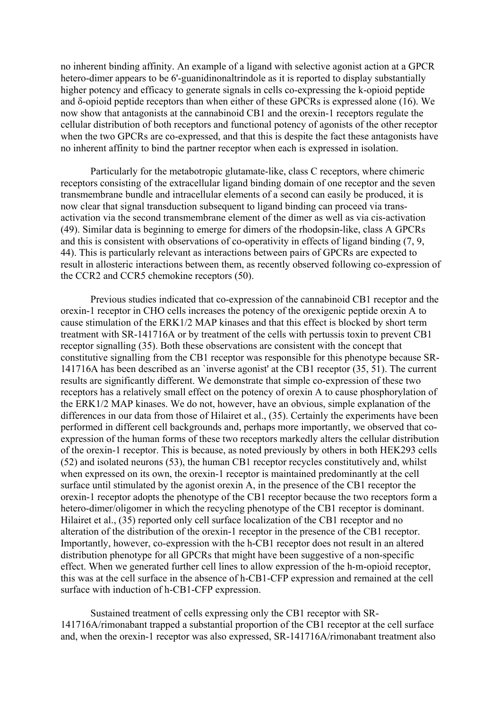no inherent binding affinity. An example of a ligand with selective agonist action at a GPCR hetero-dimer appears to be 6'-guanidinonaltrindole as it is reported to display substantially higher potency and efficacy to generate signals in cells co-expressing the k-opioid peptide and δ-opioid peptide receptors than when either of these GPCRs is expressed alone (16). We now show that antagonists at the cannabinoid CB1 and the orexin-1 receptors regulate the cellular distribution of both receptors and functional potency of agonists of the other receptor when the two GPCRs are co-expressed, and that this is despite the fact these antagonists have no inherent affinity to bind the partner receptor when each is expressed in isolation.

Particularly for the metabotropic glutamate-like, class C receptors, where chimeric receptors consisting of the extracellular ligand binding domain of one receptor and the seven transmembrane bundle and intracellular elements of a second can easily be produced, it is now clear that signal transduction subsequent to ligand binding can proceed via transactivation via the second transmembrane element of the dimer as well as via cis-activation (49). Similar data is beginning to emerge for dimers of the rhodopsin-like, class A GPCRs and this is consistent with observations of co-operativity in effects of ligand binding (7, 9, 44). This is particularly relevant as interactions between pairs of GPCRs are expected to result in allosteric interactions between them, as recently observed following co-expression of the CCR2 and CCR5 chemokine receptors (50).

Previous studies indicated that co-expression of the cannabinoid CB1 receptor and the orexin-1 receptor in CHO cells increases the potency of the orexigenic peptide orexin A to cause stimulation of the ERK1/2 MAP kinases and that this effect is blocked by short term treatment with SR-141716A or by treatment of the cells with pertussis toxin to prevent CB1 receptor signalling (35). Both these observations are consistent with the concept that constitutive signalling from the CB1 receptor was responsible for this phenotype because SR-141716A has been described as an `inverse agonist' at the CB1 receptor (35, 51). The current results are significantly different. We demonstrate that simple co-expression of these two receptors has a relatively small effect on the potency of orexin A to cause phosphorylation of the ERK1/2 MAP kinases. We do not, however, have an obvious, simple explanation of the differences in our data from those of Hilairet et al., (35). Certainly the experiments have been performed in different cell backgrounds and, perhaps more importantly, we observed that coexpression of the human forms of these two receptors markedly alters the cellular distribution of the orexin-1 receptor. This is because, as noted previously by others in both HEK293 cells (52) and isolated neurons (53), the human CB1 receptor recycles constitutively and, whilst when expressed on its own, the orexin-1 receptor is maintained predominantly at the cell surface until stimulated by the agonist orexin A, in the presence of the CB1 receptor the orexin-1 receptor adopts the phenotype of the CB1 receptor because the two receptors form a hetero-dimer/oligomer in which the recycling phenotype of the CB1 receptor is dominant. Hilairet et al., (35) reported only cell surface localization of the CB1 receptor and no alteration of the distribution of the orexin-1 receptor in the presence of the CB1 receptor. Importantly, however, co-expression with the h-CB1 receptor does not result in an altered distribution phenotype for all GPCRs that might have been suggestive of a non-specific effect. When we generated further cell lines to allow expression of the h-m-opioid receptor, this was at the cell surface in the absence of h-CB1-CFP expression and remained at the cell surface with induction of h-CB1-CFP expression.

Sustained treatment of cells expressing only the CB1 receptor with SR-141716A/rimonabant trapped a substantial proportion of the CB1 receptor at the cell surface and, when the orexin-1 receptor was also expressed, SR-141716A/rimonabant treatment also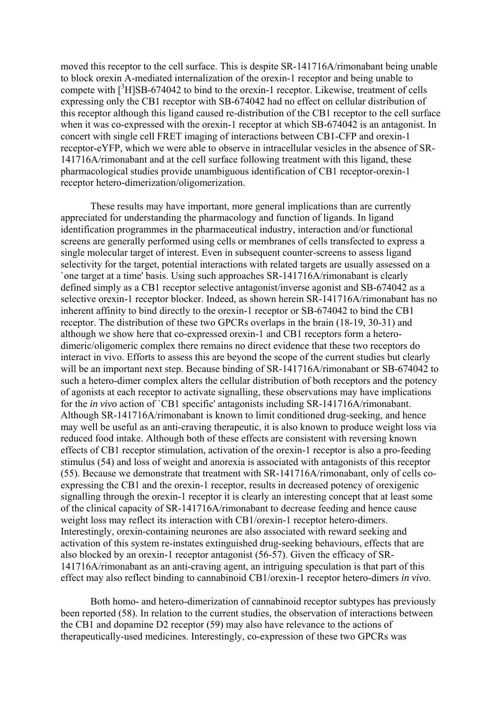moved this receptor to the cell surface. This is despite SR-141716A/rimonabant being unable to block orexin A-mediated internalization of the orexin-1 receptor and being unable to compete with  $[^{3}H]$ SB-674042 to bind to the orexin-1 receptor. Likewise, treatment of cells expressing only the CB1 receptor with SB-674042 had no effect on cellular distribution of this receptor although this ligand caused re-distribution of the CB1 receptor to the cell surface when it was co-expressed with the orexin-1 receptor at which SB-674042 is an antagonist. In concert with single cell FRET imaging of interactions between CB1-CFP and orexin-1 receptor-eYFP, which we were able to observe in intracellular vesicles in the absence of SR-141716A/rimonabant and at the cell surface following treatment with this ligand, these pharmacological studies provide unambiguous identification of CB1 receptor-orexin-1 receptor hetero-dimerization/oligomerization.

These results may have important, more general implications than are currently appreciated for understanding the pharmacology and function of ligands. In ligand identification programmes in the pharmaceutical industry, interaction and/or functional screens are generally performed using cells or membranes of cells transfected to express a single molecular target of interest. Even in subsequent counter-screens to assess ligand selectivity for the target, potential interactions with related targets are usually assessed on a `one target at a time' basis. Using such approaches SR-141716A/rimonabant is clearly defined simply as a CB1 receptor selective antagonist/inverse agonist and SB-674042 as a selective orexin-1 receptor blocker. Indeed, as shown herein SR-141716A/rimonabant has no inherent affinity to bind directly to the orexin-1 receptor or SB-674042 to bind the CB1 receptor. The distribution of these two GPCRs overlaps in the brain (18-19, 30-31) and although we show here that co-expressed orexin-1 and CB1 receptors form a heterodimeric/oligomeric complex there remains no direct evidence that these two receptors do interact in vivo. Efforts to assess this are beyond the scope of the current studies but clearly will be an important next step. Because binding of SR-141716A/rimonabant or SB-674042 to such a hetero-dimer complex alters the cellular distribution of both receptors and the potency of agonists at each receptor to activate signalling, these observations may have implications for the *in vivo* action of `CB1 specific' antagonists including SR-141716A/rimonabant. Although SR-141716A/rimonabant is known to limit conditioned drug-seeking, and hence may well be useful as an anti-craving therapeutic, it is also known to produce weight loss via reduced food intake. Although both of these effects are consistent with reversing known effects of CB1 receptor stimulation, activation of the orexin-1 receptor is also a pro-feeding stimulus (54) and loss of weight and anorexia is associated with antagonists of this receptor (55). Because we demonstrate that treatment with SR-141716A/rimonabant, only of cells coexpressing the CB1 and the orexin-1 receptor, results in decreased potency of orexigenic signalling through the orexin-1 receptor it is clearly an interesting concept that at least some of the clinical capacity of SR-141716A/rimonabant to decrease feeding and hence cause weight loss may reflect its interaction with CB1/orexin-1 receptor hetero-dimers. Interestingly, orexin-containing neurones are also associated with reward seeking and activation of this system re-instates extinguished drug-seeking behaviours, effects that are also blocked by an orexin-1 receptor antagonist (56-57). Given the efficacy of SR-141716A/rimonabant as an anti-craving agent, an intriguing speculation is that part of this effect may also reflect binding to cannabinoid CB1/orexin-1 receptor hetero-dimers *in vivo*.

Both homo- and hetero-dimerization of cannabinoid receptor subtypes has previously been reported (58). In relation to the current studies, the observation of interactions between the CB1 and dopamine D2 receptor (59) may also have relevance to the actions of therapeutically-used medicines. Interestingly, co-expression of these two GPCRs was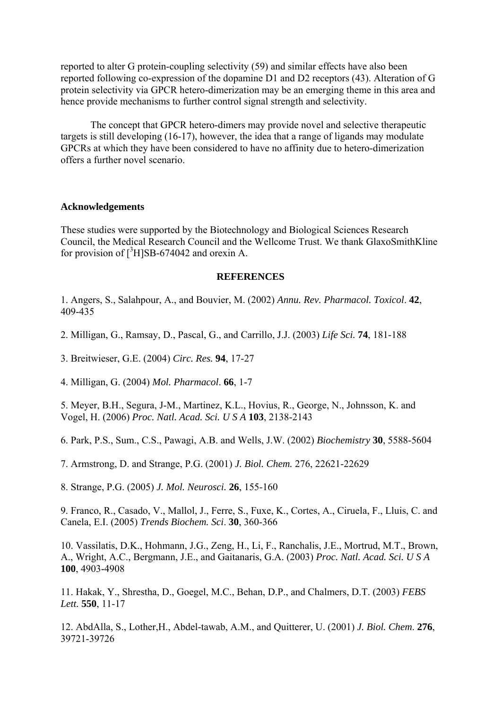reported to alter G protein-coupling selectivity (59) and similar effects have also been reported following co-expression of the dopamine D1 and D2 receptors (43). Alteration of G protein selectivity via GPCR hetero-dimerization may be an emerging theme in this area and hence provide mechanisms to further control signal strength and selectivity.

The concept that GPCR hetero-dimers may provide novel and selective therapeutic targets is still developing (16-17), however, the idea that a range of ligands may modulate GPCRs at which they have been considered to have no affinity due to hetero-dimerization offers a further novel scenario.

#### **Acknowledgements**

These studies were supported by the Biotechnology and Biological Sciences Research Council, the Medical Research Council and the Wellcome Trust. We thank GlaxoSmithKline for provision of  $\int^3 H$  SB-674042 and orexin A.

#### **REFERENCES**

1. Angers, S., Salahpour, A., and Bouvier, M. (2002) *Annu. Rev. Pharmacol. Toxicol*. **42**, 409-435

2. Milligan, G., Ramsay, D., Pascal, G., and Carrillo, J.J. (2003) *Life Sci.* **74**, 181-188

3. Breitwieser, G.E. (2004) *Circ. Res.* **94**, 17-27

4. Milligan, G. (2004) *Mol. Pharmacol*. **66**, 1-7

5. Meyer, B.H., Segura, J-M., Martinez, K.L., Hovius, R., George, N., Johnsson, K. and Vogel, H. (2006) *Proc. Natl. Acad. Sci. U S A* **103**, 2138-2143

6. Park, P.S., Sum., C.S., Pawagi, A.B. and Wells, J.W. (2002) *Biochemistry* **30**, 5588-5604

7. Armstrong, D. and Strange, P.G. (2001) *J. Biol. Chem.* 276, 22621-22629

8. Strange, P.G. (2005) *J. Mol. Neurosci.* **26**, 155-160

9. Franco, R., Casado, V., Mallol, J., Ferre, S., Fuxe, K., Cortes, A., Ciruela, F., Lluis, C. and Canela, E.I. (2005) *Trends Biochem. Sci*. **30**, 360-366

10. Vassilatis, D.K., Hohmann, J.G., Zeng, H., Li, F., Ranchalis, J.E., Mortrud, M.T., Brown, A., Wright, A.C., Bergmann, J.E., and Gaitanaris, G.A. (2003) *Proc. Natl. Acad. Sci. U S A* **100**, 4903-4908

11. Hakak, Y., Shrestha, D., Goegel, M.C., Behan, D.P., and Chalmers, D.T. (2003) *FEBS Lett.* **550**, 11-17

12. AbdAlla, S., Lother,H., Abdel-tawab, A.M., and Quitterer, U. (2001) *J. Biol. Chem*. **276**, 39721-39726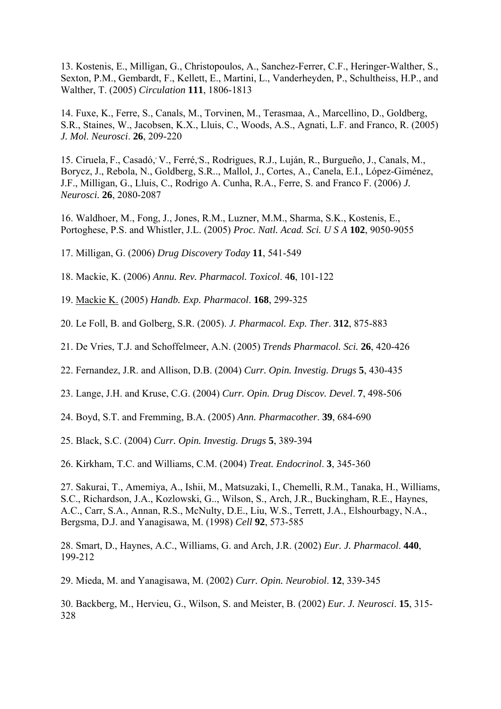13. Kostenis, E., Milligan, G., Christopoulos, A., Sanchez-Ferrer, C.F., Heringer-Walther, S., Sexton, P.M., Gembardt, F., Kellett, E., Martini, L., Vanderheyden, P., Schultheiss, H.P., and Walther, T. (2005) *Circulation* **111**, 1806-1813

14. Fuxe, K., Ferre, S., Canals, M., Torvinen, M., Terasmaa, A., Marcellino, D., Goldberg, S.R., Staines, W., Jacobsen, K.X., Lluis, C., Woods, A.S., Agnati, L.F. and Franco, R. (2005) *J. Mol. Neurosci*. **26**, 209-220

15. Ciruela, F., Casadó,<sup>,</sup> V., Ferré, S., Rodrigues, R.J., Luján, R., Burgueño, J., Canals, M., Borycz, J., Rebola, N., Goldberg, S.R.., Mallol, J., Cortes, A., Canela, E.I., López-Giménez, J.F., Milligan, G., Lluis, C., Rodrigo A. Cunha, R.A., Ferre, S. and Franco F. (2006) *J. Neurosci.* **26**, 2080-2087

16. Waldhoer, M., Fong, J., Jones, R.M., Luzner, M.M., Sharma, S.K., Kostenis, E., Portoghese, P.S. and Whistler, J.L. (2005) *Proc. Natl. Acad. Sci. U S A* **102**, 9050-9055

17. Milligan, G. (2006) *Drug Discovery Today* **11**, 541-549

18. Mackie, K. (2006) *Annu. Rev. Pharmacol. Toxicol*. 4**6**, 101-122

19. [Mackie K.](http://www.ncbi.nlm.nih.gov/entrez/query.fcgi?db=pubmed&cmd=Retrieve&dopt=AbstractPlus&list_uids=16596779&query_hl=5&itool=pubmed_DocSum) (2005) *Handb. Exp. Pharmacol*. **168**, 299-325

20. Le Foll, B. and Golberg, S.R. (2005). *J. Pharmacol. Exp. Ther*. **312**, 875-883

21. De Vries, T.J. and Schoffelmeer, A.N. (2005) *Trends Pharmacol. Sci.* **26**, 420-426

22. Fernandez, J.R. and Allison, D.B. (2004) *Curr. Opin. Investig. Drugs* **5**, 430-435

23. Lange, J.H. and Kruse, C.G. (2004) *Curr. Opin. Drug Discov. Devel*. **7**, 498-506

24. Boyd, S.T. and Fremming, B.A. (2005) *Ann. Pharmacother*. **39**, 684-690

25. Black, S.C. (2004) *Curr. Opin. Investig. Drugs* **5**, 389-394

26. Kirkham, T.C. and Williams, C.M. (2004) *Treat. Endocrinol*. **3**, 345-360

27. Sakurai, T., Amemiya, A., Ishii, M., Matsuzaki, I., Chemelli, R.M., Tanaka, H., Williams, S.C., Richardson, J.A., Kozlowski, G.., Wilson, S., Arch, J.R., Buckingham, R.E., Haynes, A.C., Carr, S.A., Annan, R.S., McNulty, D.E., Liu, W.S., Terrett, J.A., Elshourbagy, N.A., Bergsma, D.J. and Yanagisawa, M. (1998) *Cell* **92**, 573-585

28. Smart, D., Haynes, A.C., Williams, G. and Arch, J.R. (2002) *Eur. J. Pharmacol*. **440**, 199-212

29. Mieda, M. and Yanagisawa, M. (2002) *Curr. Opin. Neurobiol*. **12**, 339-345

30. Backberg, M., Hervieu, G., Wilson, S. and Meister, B. (2002) *Eur. J. Neurosci*. **15**, 315- 328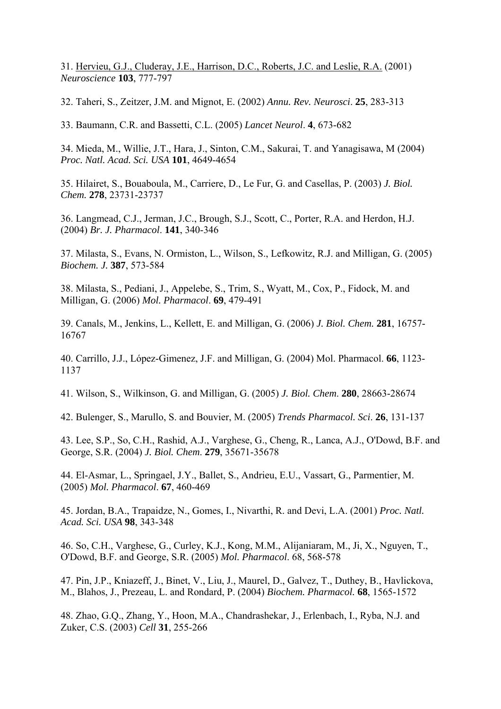31. [Hervieu, G.J., Cluderay, J.E., Harrison, D.C., Roberts, J.C. and Leslie, R.A.](http://www.ncbi.nlm.nih.gov/entrez/query.fcgi?db=pubmed&cmd=Retrieve&dopt=AbstractPlus&list_uids=11274794&query_hl=17&itool=pubmed_DocSum) (2001) *Neuroscience* **103**, 777-797

32. Taheri, S., Zeitzer, J.M. and Mignot, E. (2002) *Annu. Rev. Neurosci*. **25**, 283-313

33. Baumann, C.R. and Bassetti, C.L. (2005) *Lancet Neurol*. **4**, 673-682

34. Mieda, M., Willie, J.T., Hara, J., Sinton, C.M., Sakurai, T. and Yanagisawa, M (2004) *Proc. Natl. Acad. Sci. USA* **101**, 4649-4654

35. Hilairet, S., Bouaboula, M., Carriere, D., Le Fur, G. and Casellas, P. (2003) *J. Biol. Chem.* **278**, 23731-23737

36. Langmead, C.J., Jerman, J.C., Brough, S.J., Scott, C., Porter, R.A. and Herdon, H.J. (2004) *Br. J. Pharmacol*. **141**, 340-346

37. Milasta, S., Evans, N. Ormiston, L., Wilson, S., Lefkowitz, R.J. and Milligan, G. (2005) *Biochem. J.* **387**, 573-584

38. Milasta, S., Pediani, J., Appelebe, S., Trim, S., Wyatt, M., Cox, P., Fidock, M. and Milligan, G. (2006) *Mol. Pharmacol*. **69**, 479-491

39. Canals, M., Jenkins, L., Kellett, E. and Milligan, G. (2006) *J. Biol. Chem.* **281**, 16757- 16767

40. Carrillo, J.J., López-Gimenez, J.F. and Milligan, G. (2004) Mol. Pharmacol. **66**, 1123- 1137

41. Wilson, S., Wilkinson, G. and Milligan, G. (2005) *J. Biol. Chem*. **280**, 28663-28674

42. Bulenger, S., Marullo, S. and Bouvier, M. (2005) *Trends Pharmacol. Sci*. **26**, 131-137

43. Lee, S.P., So, C.H., Rashid, A.J., Varghese, G., Cheng, R., Lanca, A.J., O'Dowd, B.F. and George, S.R. (2004) *J. Biol. Chem*. **279**, 35671-35678

44. El-Asmar, L., Springael, J.Y., Ballet, S., Andrieu, E.U., Vassart, G., Parmentier, M. (2005) *Mol. Pharmacol*. **67**, 460-469

45. Jordan, B.A., Trapaidze, N., Gomes, I., Nivarthi, R. and Devi, L.A. (2001) *Proc. Natl. Acad. Sci. USA* **98**, 343-348

46. So, C.H., Varghese, G., Curley, K.J., Kong, M.M., Alijaniaram, M., Ji, X., Nguyen, T., O'Dowd, B.F. and George, S.R. (2005) *Mol. Pharmacol*. 68, 568-578

47. Pin, J.P., Kniazeff, J., Binet, V., Liu, J., Maurel, D., Galvez, T., Duthey, B., Havlickova, M., Blahos, J., Prezeau, L. and Rondard, P. (2004) *Biochem. Pharmacol.* **68**, 1565-1572

48. Zhao, G.Q., Zhang, Y., Hoon, M.A., Chandrashekar, J., Erlenbach, I., Ryba, N.J. and Zuker, C.S. (2003) *Cell* **31**, 255-266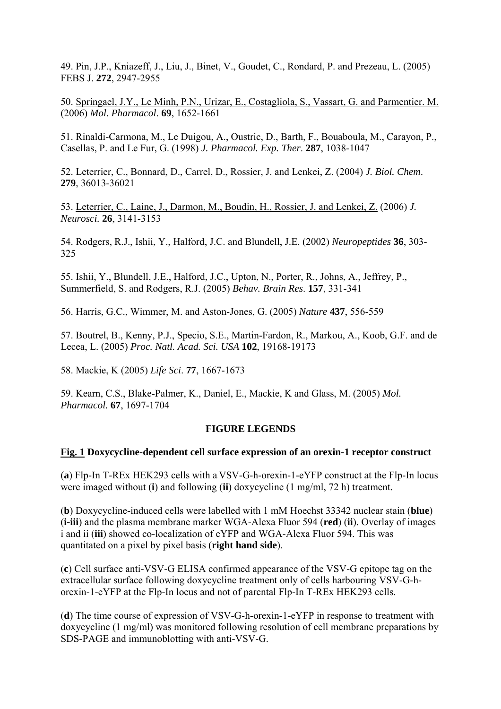49. Pin, J.P., Kniazeff, J., Liu, J., Binet, V., Goudet, C., Rondard, P. and Prezeau, L. (2005) FEBS J. **272**, 2947-2955

50. [Springael, J.Y., Le Minh, P.N., Urizar, E., Costagliola, S., Vassart, G. and Parmentier. M.](http://www.ncbi.nlm.nih.gov/entrez/query.fcgi?db=pubmed&cmd=Retrieve&dopt=AbstractPlus&list_uids=16467191&query_hl=12&itool=pubmed_docsum) (2006) *Mol. Pharmacol*. **69**, 1652-1661

51. Rinaldi-Carmona, M., Le Duigou, A., Oustric, D., Barth, F., Bouaboula, M., Carayon, P., Casellas, P. and Le Fur, G. (1998) *J. Pharmacol. Exp. Ther*. **287**, 1038-1047

52. Leterrier, C., Bonnard, D., Carrel, D., Rossier, J. and Lenkei, Z. (2004) *J. Biol. Chem*. **279**, 36013-36021

53. [Leterrier, C., Laine, J., Darmon, M., Boudin, H., Rossier, J. and Lenkei, Z.](http://www.ncbi.nlm.nih.gov/entrez/query.fcgi?db=pubmed&cmd=Retrieve&dopt=AbstractPlus&list_uids=16554465&query_hl=16&itool=pubmed_docsum) (2006) *J. Neurosci.* **26**, 3141-3153

54. Rodgers, R.J., Ishii, Y., Halford, J.C. and Blundell, J.E. (2002) *Neuropeptides* **36**, 303- 325

55. Ishii, Y., Blundell, J.E., Halford, J.C., Upton, N., Porter, R., Johns, A., Jeffrey, P., Summerfield, S. and Rodgers, R.J. (2005) *Behav. Brain Res*. **157**, 331-341

56. Harris, G.C., Wimmer, M. and Aston-Jones, G. (2005) *Nature* **437**, 556-559

57. Boutrel, B., Kenny, P.J., Specio, S.E., Martin-Fardon, R., Markou, A., Koob, G.F. and de Lecea, L. (2005) *Proc. Natl. Acad. Sci. USA* **102**, 19168-19173

58. Mackie, K (2005) *Life Sci*. **77**, 1667-1673

59. Kearn, C.S., Blake-Palmer, K., Daniel, E., Mackie, K and Glass, M. (2005) *Mol. Pharmacol.* **67**, 1697-1704

### **FIGURE LEGENDS**

### **Fig. 1 Doxycycline-dependent cell surface expression of an orexin-1 receptor construct**

(**a**) Flp-In T-REx HEK293 cells with a VSV-G-h-orexin-1-eYFP construct at the Flp-In locus were imaged without (**i**) and following (**ii**) doxycycline (1 mg/ml, 72 h) treatment.

(**b**) Doxycycline-induced cells were labelled with 1 mM Hoechst 33342 nuclear stain (**blue**) (**i-iii**) and the plasma membrane marker WGA-Alexa Fluor 594 (**red**) (**ii**). Overlay of images i and ii (**iii**) showed co-localization of eYFP and WGA-Alexa Fluor 594. This was quantitated on a pixel by pixel basis (**right hand side**).

(**c**) Cell surface anti-VSV-G ELISA confirmed appearance of the VSV-G epitope tag on the extracellular surface following doxycycline treatment only of cells harbouring VSV-G-horexin-1-eYFP at the Flp-In locus and not of parental Flp-In T-REx HEK293 cells.

(**d**) The time course of expression of VSV-G-h-orexin-1-eYFP in response to treatment with doxycycline (1 mg/ml) was monitored following resolution of cell membrane preparations by SDS-PAGE and immunoblotting with anti-VSV-G.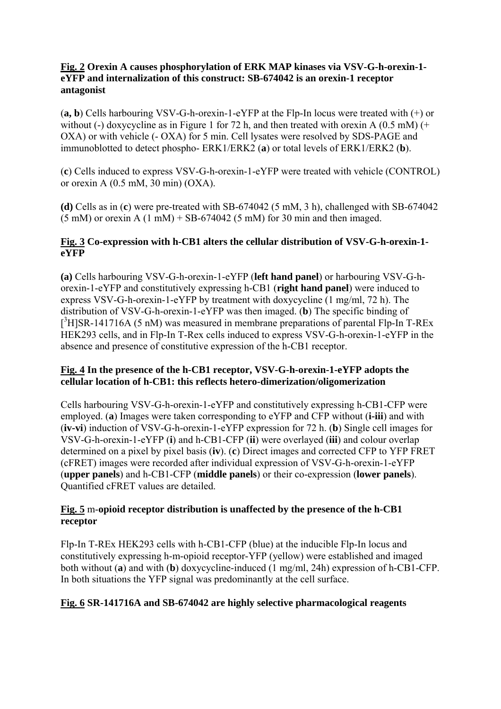### **Fig. 2 Orexin A causes phosphorylation of ERK MAP kinases via VSV-G-h-orexin-1 eYFP and internalization of this construct: SB-674042 is an orexin-1 receptor antagonist**

(**a, b**) Cells harbouring VSV-G-h-orexin-1-eYFP at the Flp-In locus were treated with (+) or without (-) doxycycline as in Figure 1 for 72 h, and then treated with orexin A  $(0.5 \text{ mM})$  (+ OXA) or with vehicle (- OXA) for 5 min. Cell lysates were resolved by SDS-PAGE and immunoblotted to detect phospho- ERK1/ERK2 (**a**) or total levels of ERK1/ERK2 (**b**).

(**c**) Cells induced to express VSV-G-h-orexin-1-eYFP were treated with vehicle (CONTROL) or orexin A (0.5 mM, 30 min) (OXA).

**(d)** Cells as in (**c**) were pre-treated with SB-674042 (5 mM, 3 h), challenged with SB-674042  $(5 \text{ mM})$  or orexin A  $(1 \text{ mM})$  + SB-674042 (5 mM) for 30 min and then imaged.

## **Fig. 3 Co-expression with h-CB1 alters the cellular distribution of VSV-G-h-orexin-1 eYFP**

**(a)** Cells harbouring VSV-G-h-orexin-1-eYFP (**left hand panel**) or harbouring VSV-G-horexin-1-eYFP and constitutively expressing h-CB1 (**right hand panel**) were induced to express VSV-G-h-orexin-1-eYFP by treatment with doxycycline (1 mg/ml, 72 h). The distribution of VSV-G-h-orexin-1-eYFP was then imaged. (**b**) The specific binding of  $[3H]$ SR-141716A (5 nM) was measured in membrane preparations of parental Flp-In T-REx HEK293 cells, and in Flp-In T-Rex cells induced to express VSV-G-h-orexin-1-eYFP in the absence and presence of constitutive expression of the h-CB1 receptor.

### **Fig. 4 In the presence of the h-CB1 receptor, VSV-G-h-orexin-1-eYFP adopts the cellular location of h-CB1: this reflects hetero-dimerization/oligomerization**

Cells harbouring VSV-G-h-orexin-1-eYFP and constitutively expressing h-CB1-CFP were employed. (**a**) Images were taken corresponding to eYFP and CFP without (**i-iii**) and with (**iv-vi**) induction of VSV-G-h-orexin-1-eYFP expression for 72 h. (**b**) Single cell images for VSV-G-h-orexin-1-eYFP (**i**) and h-CB1-CFP (**ii**) were overlayed (**iii**) and colour overlap determined on a pixel by pixel basis (**iv**). (**c**) Direct images and corrected CFP to YFP FRET (cFRET) images were recorded after individual expression of VSV-G-h-orexin-1-eYFP (**upper panels**) and h-CB1-CFP (**middle panels**) or their co-expression (**lower panels**). Quantified cFRET values are detailed.

### **Fig. 5** m-**opioid receptor distribution is unaffected by the presence of the h-CB1 receptor**

Flp-In T-REx HEK293 cells with h-CB1-CFP (blue) at the inducible Flp-In locus and constitutively expressing h-m-opioid receptor-YFP (yellow) were established and imaged both without (**a**) and with (**b**) doxycycline-induced (1 mg/ml, 24h) expression of h-CB1-CFP. In both situations the YFP signal was predominantly at the cell surface.

# **Fig. 6 SR-141716A and SB-674042 are highly selective pharmacological reagents**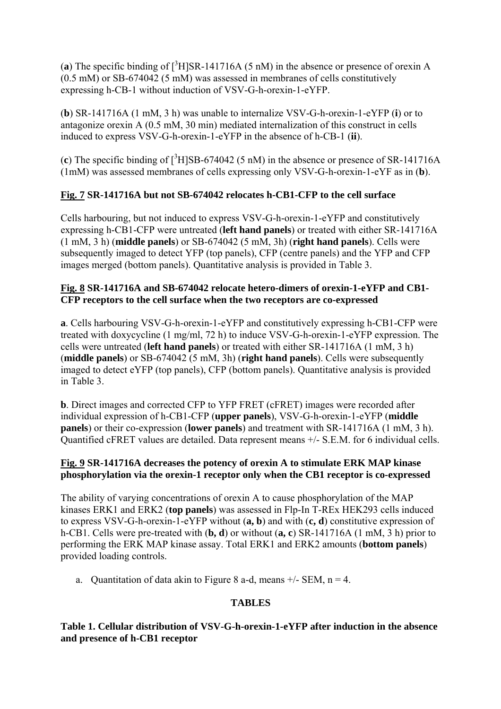(a) The specific binding of  $\int^3 H$  SR-141716A (5 nM) in the absence or presence of orexin A (0.5 mM) or SB-674042 (5 mM) was assessed in membranes of cells constitutively expressing h-CB-1 without induction of VSV-G-h-orexin-1-eYFP.

(**b**) SR-141716A (1 mM, 3 h) was unable to internalize VSV-G-h-orexin-1-eYFP (**i**) or to antagonize orexin A (0.5 mM, 30 min) mediated internalization of this construct in cells induced to express VSV-G-h-orexin-1-eYFP in the absence of h-CB-1 (**ii**).

(c) The specific binding of  $[^{3}H]$ SB-674042 (5 nM) in the absence or presence of SR-141716A (1mM) was assessed membranes of cells expressing only VSV-G-h-orexin-1-eYF as in (**b**).

# **Fig. 7 SR-141716A but not SB-674042 relocates h-CB1-CFP to the cell surface**

Cells harbouring, but not induced to express VSV-G-h-orexin-1-eYFP and constitutively expressing h-CB1-CFP were untreated (**left hand panels**) or treated with either SR-141716A (1 mM, 3 h) (**middle panels**) or SB-674042 (5 mM, 3h) (**right hand panels**). Cells were subsequently imaged to detect YFP (top panels), CFP (centre panels) and the YFP and CFP images merged (bottom panels). Quantitative analysis is provided in Table 3.

## **Fig. 8 SR-141716A and SB-674042 relocate hetero-dimers of orexin-1-eYFP and CB1- CFP receptors to the cell surface when the two receptors are co-expressed**

**a**. Cells harbouring VSV-G-h-orexin-1-eYFP and constitutively expressing h-CB1-CFP were treated with doxycycline (1 mg/ml, 72 h) to induce VSV-G-h-orexin-1-eYFP expression. The cells were untreated (**left hand panels**) or treated with either SR-141716A (1 mM, 3 h) (**middle panels**) or SB-674042 (5 mM, 3h) (**right hand panels**). Cells were subsequently imaged to detect eYFP (top panels), CFP (bottom panels). Quantitative analysis is provided in Table 3.

**b**. Direct images and corrected CFP to YFP FRET (cFRET) images were recorded after individual expression of h-CB1-CFP (**upper panels**), VSV-G-h-orexin-1-eYFP (**middle panels**) or their co-expression (**lower panels**) and treatment with SR-141716A (1 mM, 3 h). Quantified cFRET values are detailed. Data represent means +/- S.E.M. for 6 individual cells.

### **Fig. 9 SR-141716A decreases the potency of orexin A to stimulate ERK MAP kinase phosphorylation via the orexin-1 receptor only when the CB1 receptor is co-expressed**

The ability of varying concentrations of orexin A to cause phosphorylation of the MAP kinases ERK1 and ERK2 (**top panels**) was assessed in Flp-In T-REx HEK293 cells induced to express VSV-G-h-orexin-1-eYFP without (**a, b**) and with (**c, d**) constitutive expression of h-CB1. Cells were pre-treated with (**b, d**) or without (**a, c**) SR-141716A (1 mM, 3 h) prior to performing the ERK MAP kinase assay. Total ERK1 and ERK2 amounts (**bottom panels**) provided loading controls.

a. Quantitation of data akin to Figure 8 a-d, means  $+/-$  SEM, n = 4.

# **TABLES**

## **Table 1. Cellular distribution of VSV-G-h-orexin-1-eYFP after induction in the absence and presence of h-CB1 receptor**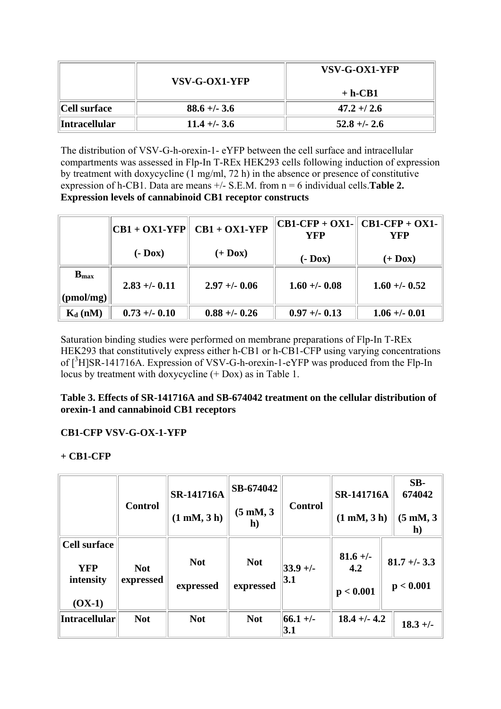|                    | VSV-G-OX1-YFP  | VSV-G-OX1-YFP  |
|--------------------|----------------|----------------|
|                    |                | $+ h-CB1$      |
| Cell surface       | $88.6 + - 3.6$ | $47.2 + 2.6$   |
| $\ $ Intracellular | $11.4 + - 3.6$ | $52.8 + - 2.6$ |

The distribution of VSV-G-h-orexin-1- eYFP between the cell surface and intracellular compartments was assessed in Flp-In T-REx HEK293 cells following induction of expression by treatment with doxycycline (1 mg/ml, 72 h) in the absence or presence of constitutive expression of h-CB1. Data are means +/- S.E.M. from n = 6 individual cells.**Table 2. Expression levels of cannabinoid CB1 receptor constructs**

|                     | $CB1 + OX1- YFP$ | $CB1 + OX1- YFP$ | YFP            | $CB1-CFP + OX1-  CB1-CFP + OX1-$<br>YFP |  |
|---------------------|------------------|------------------|----------------|-----------------------------------------|--|
|                     | $(-$ Dox $)$     | $(+$ Dox)        | $(-$ Dox $)$   | $(+$ Dox)                               |  |
| $Bmax$<br>(pmol/mg) | $2.83 + -0.11$   | $2.97 + -0.06$   | $1.60 + -0.08$ | $1.60 + -0.52$                          |  |
| $K_d$ (nM)          | $0.73 + -0.10$   | $0.88 + -0.26$   | $0.97 + -0.13$ | $1.06 + -0.01$                          |  |

Saturation binding studies were performed on membrane preparations of Flp-In T-REx HEK293 that constitutively express either h-CB1 or h-CB1-CFP using varying concentrations of [<sup>3</sup>H]SR-141716A. Expression of VSV-G-h-orexin-1-eYFP was produced from the Flp-In locus by treatment with doxycycline (+ Dox) as in Table 1.

**Table 3. Effects of SR-141716A and SB-674042 treatment on the cellular distribution of orexin-1 and cannabinoid CB1 receptors**

# **CB1-CFP VSV-G-OX-1-YFP**

# **+ CB1-CFP**

|                                                            | <b>Control</b>          | <b>SR-141716A</b><br>$(1 \text{ mM}, 3 \text{ h})$ | SB-674042<br>(5 mM, 3<br>$\mathbf{h}$ | <b>Control</b>            | <b>SR-141716A</b><br>(1 mM, 3 h) | $SB-$<br>674042<br>$(5 \text{ mM}, 3)$<br>h) |
|------------------------------------------------------------|-------------------------|----------------------------------------------------|---------------------------------------|---------------------------|----------------------------------|----------------------------------------------|
| <b>Cell surface</b><br><b>YFP</b><br>intensity<br>$(OX-1)$ | <b>Not</b><br>expressed | <b>Not</b><br>expressed                            | <b>Not</b><br>expressed               | $ 33.9 +/-$<br> 3.1       | $81.6 +/-$<br>4.2<br>p < 0.001   | $81.7 + - 3.3$<br>p < 0.001                  |
| Intracellular                                              | <b>Not</b>              | <b>Not</b>                                         | <b>Not</b>                            | $ 66.1 + \rangle$<br> 3.1 | $18.4 + - 4.2$                   | $18.3 +/-$                                   |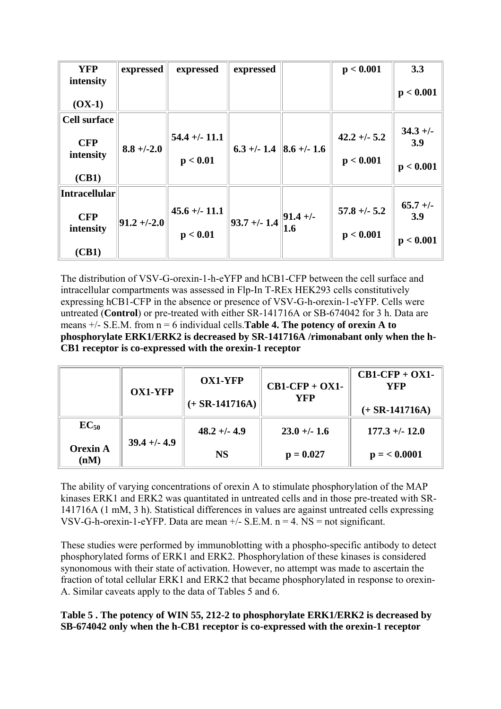| <b>YFP</b>              | expressed       | expressed        | expressed                                        | p < 0.001       | 3.3               |
|-------------------------|-----------------|------------------|--------------------------------------------------|-----------------|-------------------|
| intensity<br>$(OX-1)$   |                 |                  |                                                  |                 | p < 0.001         |
| <b>Cell surface</b>     |                 |                  |                                                  |                 |                   |
| <b>CFP</b><br>intensity | $8.8 + (-2.0)$  | $54.4 + (-11.1$  | $6.3 +/- 1.4$ 8.6 +/- 1.6                        | $42.2 + (-5.2$  | $34.3 +/-$<br>3.9 |
| (CB1)                   |                 | p < 0.01         |                                                  | p < 0.001       | p < 0.001         |
| <b>Intracellular</b>    |                 |                  |                                                  |                 |                   |
| <b>CFP</b><br>intensity | $ 91.2 + (-2.0$ | $45.6 + (-11.1)$ | 93.7 +/- 1.4 $\left\  \frac{91.4}{1.6} \right\ $ | $57.8 + (-5.2)$ | $65.7 +/-$<br>3.9 |
| (CB1)                   |                 | p < 0.01         |                                                  | p < 0.001       | p < 0.001         |

The distribution of VSV-G-orexin-1-h-eYFP and hCB1-CFP between the cell surface and intracellular compartments was assessed in Flp-In T-REx HEK293 cells constitutively expressing hCB1-CFP in the absence or presence of VSV-G-h-orexin-1-eYFP. Cells were untreated (**Control**) or pre-treated with either SR-141716A or SB-674042 for 3 h. Data are means +/- S.E.M. from n = 6 individual cells.**Table 4. The potency of orexin A to phosphorylate ERK1/ERK2 is decreased by SR-141716A /rimonabant only when the h-CB1 receptor is co-expressed with the orexin-1 receptor**

|                         | <b>OX1-YFP</b> | <b>OX1-YFP</b><br>$(+$ SR-141716A) | $CB1-CFP + OX1-$<br><b>YFP</b> | $CB1-CFP + OX1-$<br>YFP<br>$(+ SR-141716A)$ |
|-------------------------|----------------|------------------------------------|--------------------------------|---------------------------------------------|
| $EC_{50}$               | $39.4 + - 4.9$ | $48.2 + (-4.9)$                    | $23.0 + -1.6$                  | $177.3 + (-12.0)$                           |
| <b>Orexin A</b><br>(nM) |                | <b>NS</b>                          | $p = 0.027$                    | $p = 0.0001$                                |

The ability of varying concentrations of orexin A to stimulate phosphorylation of the MAP kinases ERK1 and ERK2 was quantitated in untreated cells and in those pre-treated with SR-141716A (1 mM, 3 h). Statistical differences in values are against untreated cells expressing VSV-G-h-orexin-1-eYFP. Data are mean  $+/-$  S.E.M. n = 4. NS = not significant.

These studies were performed by immunoblotting with a phospho-specific antibody to detect phosphorylated forms of ERK1 and ERK2. Phosphorylation of these kinases is considered synonomous with their state of activation. However, no attempt was made to ascertain the fraction of total cellular ERK1 and ERK2 that became phosphorylated in response to orexin-A. Similar caveats apply to the data of Tables 5 and 6.

## **Table 5 . The potency of WIN 55, 212-2 to phosphorylate ERK1/ERK2 is decreased by SB-674042 only when the h-CB1 receptor is co-expressed with the orexin-1 receptor**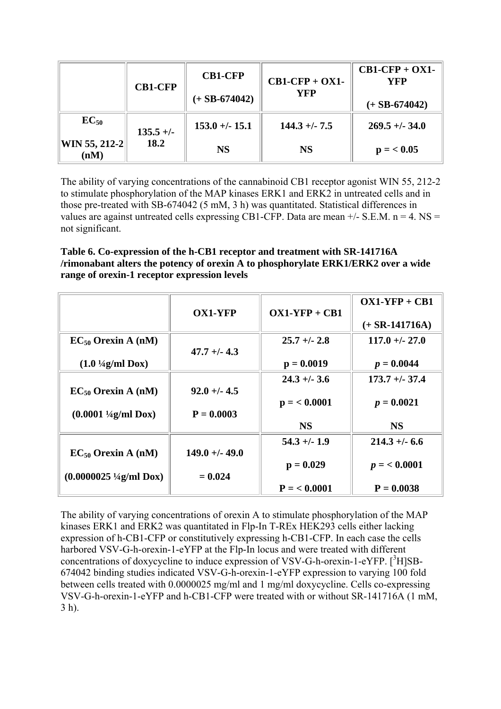|                       | <b>CB1-CFP</b> | <b>CB1-CFP</b><br>$(+$ SB-674042) | $CB1-CFP + OX1-$<br>YFP | $CB1-CFP + OX1-$<br>YFP<br>$(+$ SB-674042) |
|-----------------------|----------------|-----------------------------------|-------------------------|--------------------------------------------|
| $EC_{50}$             | $135.5 +/-$    | $153.0 +/- 15.1$                  | $144.3 + (-7.5)$        | $269.5 + - 34.0$                           |
| WIN 55, 212-2<br>(nM) | 18.2           | <b>NS</b>                         | <b>NS</b>               | $p = 0.05$                                 |

The ability of varying concentrations of the cannabinoid CB1 receptor agonist WIN 55, 212-2 to stimulate phosphorylation of the MAP kinases ERK1 and ERK2 in untreated cells and in those pre-treated with SB-674042 (5 mM, 3 h) was quantitated. Statistical differences in values are against untreated cells expressing CB1-CFP. Data are mean  $+/-$  S.E.M. n = 4. NS = not significant.

**Table 6. Co-expression of the h-CB1 receptor and treatment with SR-141716A /rimonabant alters the potency of orexin A to phosphorylate ERK1/ERK2 over a wide range of orexin-1 receptor expression levels**

|                                             |                  |                 | $OX1-YFP + CB1$  |
|---------------------------------------------|------------------|-----------------|------------------|
|                                             | <b>OX1-YFP</b>   | $OX1-YFP + CB1$ | $(+ SR-141716A)$ |
| $EC_{50}$ Orexin A (nM)                     |                  | $25.7 + - 2.8$  | $117.0 + (-27.0$ |
|                                             | $47.7 + (-4.3)$  |                 |                  |
| $(1.0 \frac{1}{4}g/ml \, \,Dox)$            |                  | $p = 0.0019$    | $p = 0.0044$     |
|                                             |                  | $24.3 + 3.6$    | $173.7 + - 37.4$ |
| $EC_{50}$ Orexin A (nM)                     | $92.0 + 4.5$     |                 |                  |
|                                             |                  | $p = 0.0001$    | $p = 0.0021$     |
| $(0.0001 \frac{1}{4}g/ml \, \text{Dox})$    | $P = 0.0003$     |                 |                  |
|                                             |                  | <b>NS</b>       | <b>NS</b>        |
|                                             |                  | $54.3 + (-1.9)$ | $214.3 + - 6.6$  |
| $EC_{50}$ Orexin A (nM)                     | $149.0 + - 49.0$ |                 |                  |
|                                             |                  | $p = 0.029$     | $p = 0.0001$     |
| $(0.0000025 \frac{1}{4}g/ml \, \text{Dox})$ | $= 0.024$        |                 |                  |
|                                             |                  | $P = 0.0001$    | $P = 0.0038$     |

The ability of varying concentrations of orexin A to stimulate phosphorylation of the MAP kinases ERK1 and ERK2 was quantitated in Flp-In T-REx HEK293 cells either lacking expression of h-CB1-CFP or constitutively expressing h-CB1-CFP. In each case the cells harbored VSV-G-h-orexin-1-eYFP at the Flp-In locus and were treated with different concentrations of doxycycline to induce expression of VSV-G-h-orexin-1-eYFP. [<sup>3</sup>H]SB-674042 binding studies indicated VSV-G-h-orexin-1-eYFP expression to varying 100 fold between cells treated with 0.0000025 mg/ml and 1 mg/ml doxycycline. Cells co-expressing VSV-G-h-orexin-1-eYFP and h-CB1-CFP were treated with or without SR-141716A (1 mM, 3 h).